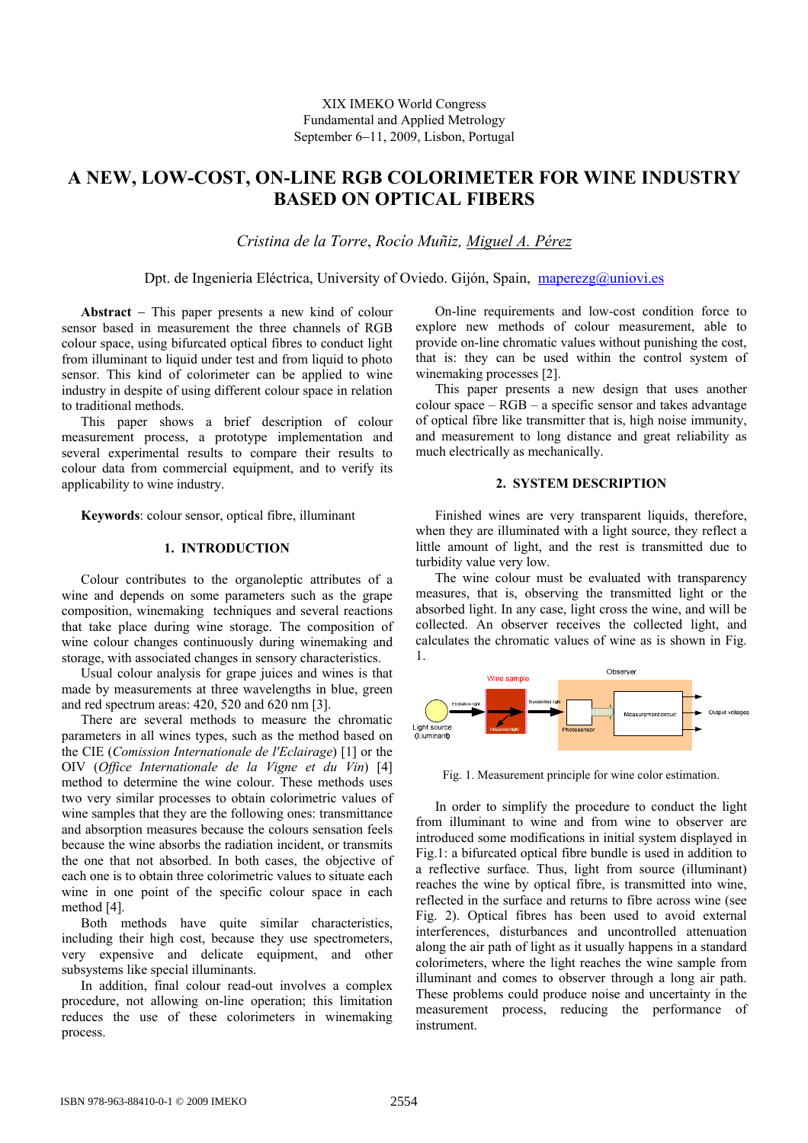# **A NEW, LOW-COST, ON-LINE RGB COLORIMETER FOR WINE INDUSTRY BASED ON OPTICAL FIBERS**

*Cristina de la Torre*, *Rocío Muñiz, Miguel A. Pérez*

Dpt. de Ingeniería Eléctrica, University of Oviedo. Gijón, Spain, maperezg@uniovi.es

**Abstract** − This paper presents a new kind of colour sensor based in measurement the three channels of RGB colour space, using bifurcated optical fibres to conduct light from illuminant to liquid under test and from liquid to photo sensor. This kind of colorimeter can be applied to wine industry in despite of using different colour space in relation to traditional methods.

This paper shows a brief description of colour measurement process, a prototype implementation and several experimental results to compare their results to colour data from commercial equipment, and to verify its applicability to wine industry.

**Keywords**: colour sensor, optical fibre, illuminant

# **1. INTRODUCTION**

Colour contributes to the organoleptic attributes of a wine and depends on some parameters such as the grape composition, winemaking techniques and several reactions that take place during wine storage. The composition of wine colour changes continuously during winemaking and storage, with associated changes in sensory characteristics.

Usual colour analysis for grape juices and wines is that made by measurements at three wavelengths in blue, green and red spectrum areas: 420, 520 and 620 nm [3].

There are several methods to measure the chromatic parameters in all wines types, such as the method based on the CIE (*Comission Internationale de l'Eclairage*) [1] or the OIV (*Office Internationale de la Vigne et du Vin*) [4] method to determine the wine colour. These methods uses two very similar processes to obtain colorimetric values of wine samples that they are the following ones: transmittance and absorption measures because the colours sensation feels because the wine absorbs the radiation incident, or transmits the one that not absorbed. In both cases, the objective of each one is to obtain three colorimetric values to situate each wine in one point of the specific colour space in each method [4].

Both methods have quite similar characteristics, including their high cost, because they use spectrometers, very expensive and delicate equipment, and other subsystems like special illuminants.

In addition, final colour read-out involves a complex procedure, not allowing on-line operation; this limitation reduces the use of these colorimeters in winemaking process.

On-line requirements and low-cost condition force to explore new methods of colour measurement, able to provide on-line chromatic values without punishing the cost, that is: they can be used within the control system of winemaking processes [2].

This paper presents a new design that uses another colour space – RGB – a specific sensor and takes advantage of optical fibre like transmitter that is, high noise immunity, and measurement to long distance and great reliability as much electrically as mechanically.

# **2. SYSTEM DESCRIPTION**

Finished wines are very transparent liquids, therefore, when they are illuminated with a light source, they reflect a little amount of light, and the rest is transmitted due to turbidity value very low.

The wine colour must be evaluated with transparency measures, that is, observing the transmitted light or the absorbed light. In any case, light cross the wine, and will be collected. An observer receives the collected light, and calculates the chromatic values of wine as is shown in Fig. 1.



Fig. 1. Measurement principle for wine color estimation.

In order to simplify the procedure to conduct the light from illuminant to wine and from wine to observer are introduced some modifications in initial system displayed in Fig.1: a bifurcated optical fibre bundle is used in addition to a reflective surface. Thus, light from source (illuminant) reaches the wine by optical fibre, is transmitted into wine, reflected in the surface and returns to fibre across wine (see Fig. 2). Optical fibres has been used to avoid external interferences, disturbances and uncontrolled attenuation along the air path of light as it usually happens in a standard colorimeters, where the light reaches the wine sample from illuminant and comes to observer through a long air path. These problems could produce noise and uncertainty in the measurement process, reducing the performance of instrument.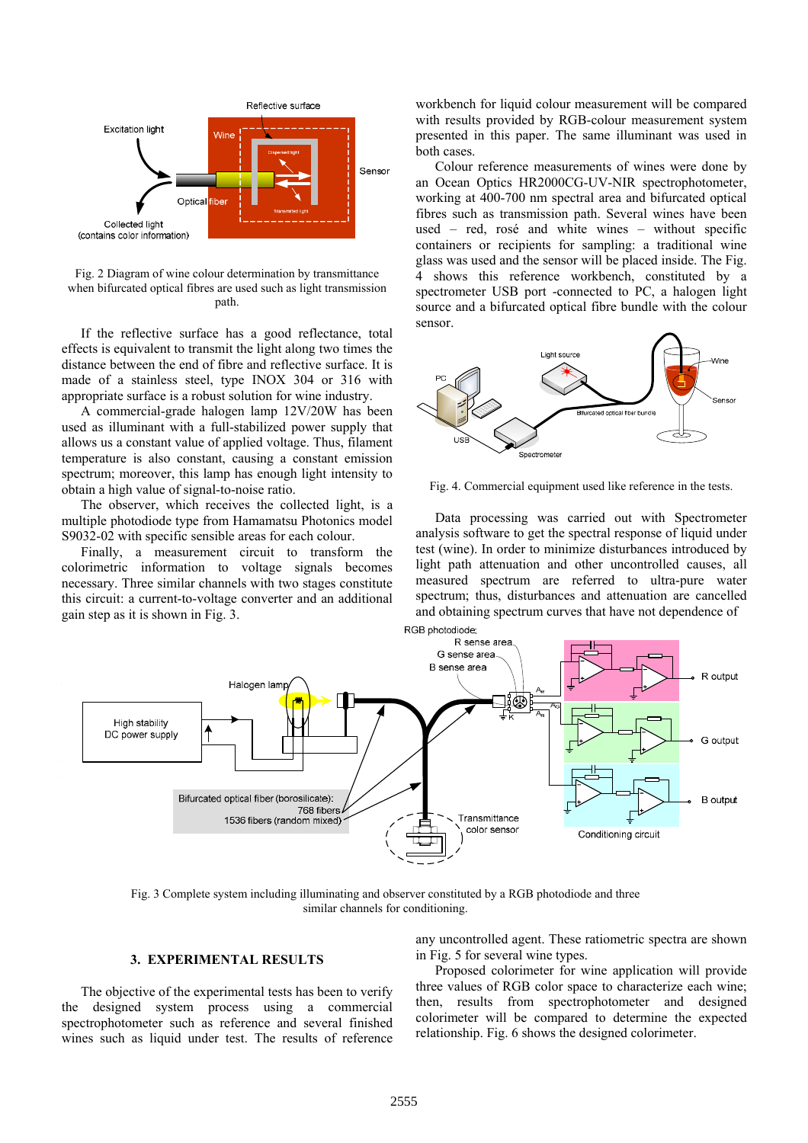

Fig. 2 Diagram of wine colour determination by transmittance when bifurcated optical fibres are used such as light transmission path.

If the reflective surface has a good reflectance, total effects is equivalent to transmit the light along two times the distance between the end of fibre and reflective surface. It is made of a stainless steel, type INOX 304 or 316 with appropriate surface is a robust solution for wine industry.

A commercial-grade halogen lamp 12V/20W has been used as illuminant with a full-stabilized power supply that allows us a constant value of applied voltage. Thus, filament temperature is also constant, causing a constant emission spectrum; moreover, this lamp has enough light intensity to obtain a high value of signal-to-noise ratio.

The observer, which receives the collected light, is a multiple photodiode type from Hamamatsu Photonics model S9032-02 with specific sensible areas for each colour.

Finally, a measurement circuit to transform the colorimetric information to voltage signals becomes necessary. Three similar channels with two stages constitute this circuit: a current-to-voltage converter and an additional gain step as it is shown in Fig. 3.

workbench for liquid colour measurement will be compared with results provided by RGB-colour measurement system presented in this paper. The same illuminant was used in both cases.

Colour reference measurements of wines were done by an Ocean Optics HR2000CG-UV-NIR spectrophotometer, working at 400-700 nm spectral area and bifurcated optical fibres such as transmission path. Several wines have been used – red, rosé and white wines – without specific containers or recipients for sampling: a traditional wine glass was used and the sensor will be placed inside. The Fig. 4 shows this reference workbench, constituted by a spectrometer USB port -connected to PC, a halogen light source and a bifurcated optical fibre bundle with the colour sensor.



Fig. 4. Commercial equipment used like reference in the tests.

Data processing was carried out with Spectrometer analysis software to get the spectral response of liquid under test (wine). In order to minimize disturbances introduced by light path attenuation and other uncontrolled causes, all measured spectrum are referred to ultra-pure water spectrum; thus, disturbances and attenuation are cancelled and obtaining spectrum curves that have not dependence of



Fig. 3 Complete system including illuminating and observer constituted by a RGB photodiode and three similar channels for conditioning.

### **3. EXPERIMENTAL RESULTS**

The objective of the experimental tests has been to verify the designed system process using a commercial spectrophotometer such as reference and several finished wines such as liquid under test. The results of reference any uncontrolled agent. These ratiometric spectra are shown in Fig. 5 for several wine types.

Proposed colorimeter for wine application will provide three values of RGB color space to characterize each wine; then, results from spectrophotometer and designed colorimeter will be compared to determine the expected relationship. Fig. 6 shows the designed colorimeter.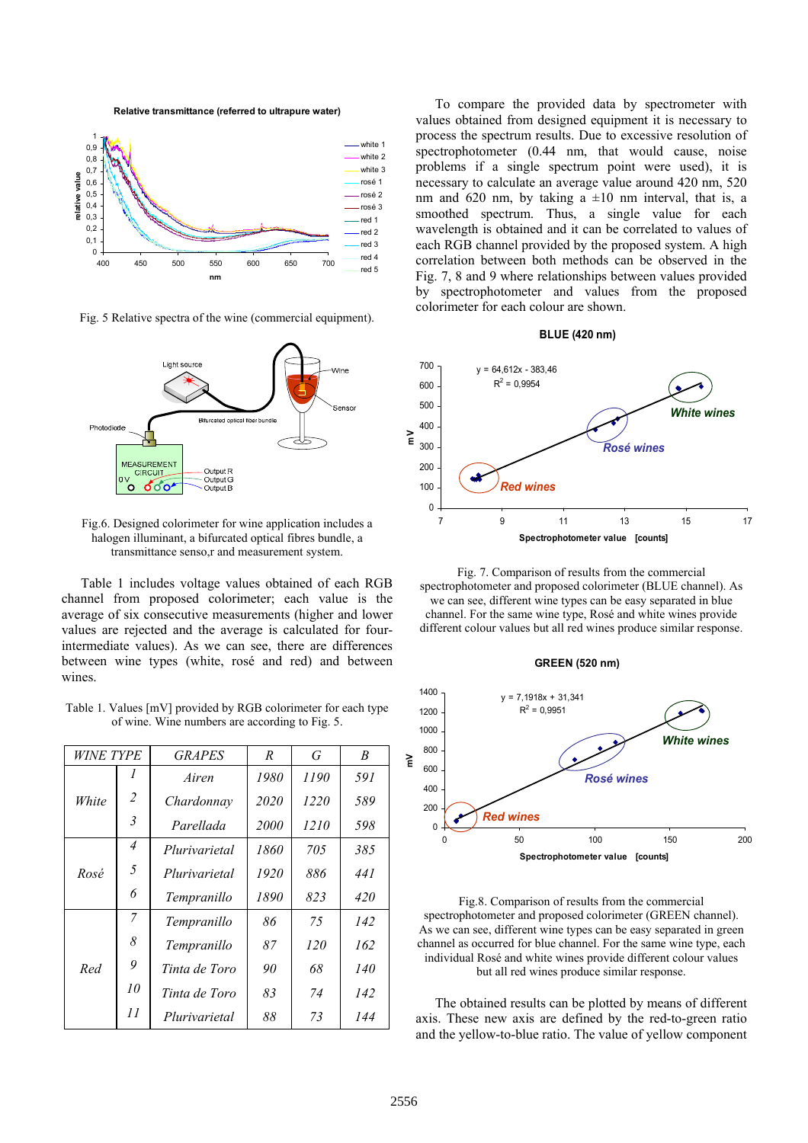**Relative transmittance (referred to ultrapure water)**



Fig. 5 Relative spectra of the wine (commercial equipment).



Fig.6. Designed colorimeter for wine application includes a halogen illuminant, a bifurcated optical fibres bundle, a transmittance senso,r and measurement system.

Table 1 includes voltage values obtained of each RGB channel from proposed colorimeter; each value is the average of six consecutive measurements (higher and lower values are rejected and the average is calculated for fourintermediate values). As we can see, there are differences between wine types (white, rosé and red) and between wines.

Table 1. Values [mV] provided by RGB colorimeter for each type of wine. Wine numbers are according to Fig. 5.

| <i>WINE TYPE</i> |    | <b>GRAPES</b> | R    | G    | B   |
|------------------|----|---------------|------|------|-----|
|                  | 7  | Airen         | 1980 | 1190 | 591 |
| White            | 2  | Chardonnav    | 2020 | 1220 | 589 |
|                  | 3  | Parellada     | 2000 | 1210 | 598 |
| Rosé             | 4  | Plurivarietal | 1860 | 705  | 385 |
|                  | 5  | Plurivarietal | 1920 | 886  | 441 |
|                  | 6  | Tempranillo   | 1890 | 823  | 420 |
| Red              | 7  | Tempranillo   | 86   | 75   | 142 |
|                  | 8  | Tempranillo   | 87   | 120  | 162 |
|                  | 9  | Tinta de Toro | 90   | 68   | 140 |
|                  | 10 | Tinta de Toro | 83   | 74   | 142 |
|                  | 11 | Plurivarietal | 88   | 73   | 144 |

To compare the provided data by spectrometer with values obtained from designed equipment it is necessary to process the spectrum results. Due to excessive resolution of spectrophotometer (0.44 nm, that would cause, noise problems if a single spectrum point were used), it is necessary to calculate an average value around 420 nm, 520 nm and 620 nm, by taking a  $\pm 10$  nm interval, that is, a smoothed spectrum. Thus, a single value for each wavelength is obtained and it can be correlated to values of each RGB channel provided by the proposed system. A high correlation between both methods can be observed in the Fig. 7, 8 and 9 where relationships between values provided by spectrophotometer and values from the proposed colorimeter for each colour are shown.

#### **BLUE (420 nm)**



Fig. 7. Comparison of results from the commercial spectrophotometer and proposed colorimeter (BLUE channel). As we can see, different wine types can be easy separated in blue channel. For the same wine type, Rosé and white wines provide different colour values but all red wines produce similar response.





Fig.8. Comparison of results from the commercial spectrophotometer and proposed colorimeter (GREEN channel). As we can see, different wine types can be easy separated in green channel as occurred for blue channel. For the same wine type, each individual Rosé and white wines provide different colour values but all red wines produce similar response.

The obtained results can be plotted by means of different axis. These new axis are defined by the red-to-green ratio and the yellow-to-blue ratio. The value of yellow component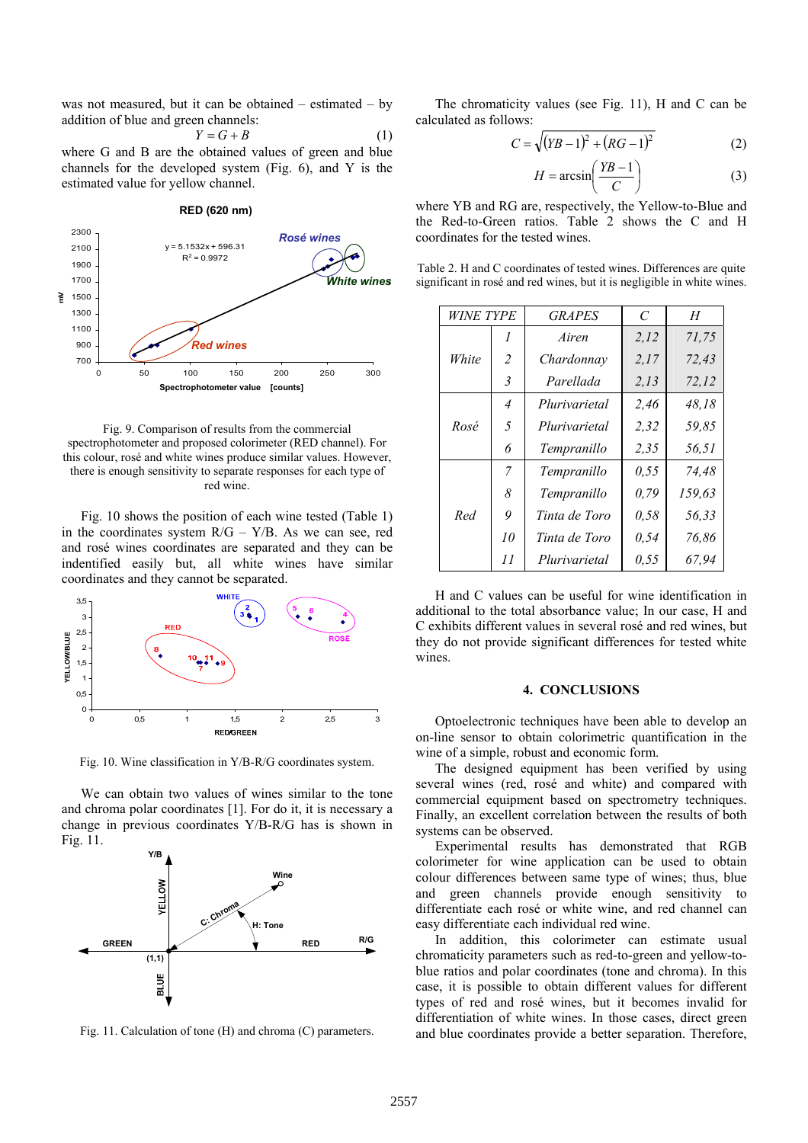was not measured, but it can be obtained  $-$  estimated  $-$  by addition of blue and green channels:

$$
Y = G + B \tag{1}
$$

where G and B are the obtained values of green and blue channels for the developed system (Fig. 6), and Y is the estimated value for yellow channel.

**ROJO (620 nm) RED (620 nm)**

#### $y = 5.1532x + 596.31$  $R^2$  = 0.9972 700  $900$ 1100 1300 1500 1700 1900 2100 2300 0 50 100 150 200 250 300 **Spectrophotometer value [counts] mV** *Red wines Rosé wines White wines*

Fig. 9. Comparison of results from the commercial spectrophotometer and proposed colorimeter (RED channel). For this colour, rosé and white wines produce similar values. However, there is enough sensitivity to separate responses for each type of red wine.

Fig. 10 shows the position of each wine tested (Table 1) in the coordinates system  $R/G - Y/B$ . As we can see, red and rosé wines coordinates are separated and they can be indentified easily but, all white wines have similar coordinates and they cannot be separated.



Fig. 10. Wine classification in Y/B-R/G coordinates system.

We can obtain two values of wines similar to the tone and chroma polar coordinates [1]. For do it, it is necessary a change in previous coordinates Y/B-R/G has is shown in Fig. 11.



Fig. 11. Calculation of tone (H) and chroma (C) parameters.

The chromaticity values (see Fig. 11), H and C can be calculated as follows:

$$
C = \sqrt{(YB - 1)^2 + (RG - 1)^2}
$$
 (2)

$$
H = \arcsin\left(\frac{YB - 1}{C}\right) \tag{3}
$$

where YB and RG are, respectively, the Yellow-to-Blue and the Red-to-Green ratios. Table 2 shows the C and H coordinates for the tested wines.

| Table 2. H and C coordinates of tested wines. Differences are quite     |
|-------------------------------------------------------------------------|
| significant in rosé and red wines, but it is negligible in white wines. |

| <i>WINE TYPE</i> |                | <b>GRAPES</b> | $\mathcal{C}_{\mathcal{C}}$ | H      |
|------------------|----------------|---------------|-----------------------------|--------|
|                  | 1              | Airen         | 2.12                        | 71,75  |
| White            | $\overline{2}$ | Chardonnav    | 2,17                        | 72,43  |
|                  | 3              | Parellada     | 2,13                        | 72,12  |
|                  | $\overline{4}$ | Plurivarietal | 2,46                        | 48,18  |
| Rosé             | 5              | Plurivarietal | 2,32                        | 59,85  |
|                  | 6              | Tempranillo   | 2.35                        | 56,51  |
|                  | 7              | Tempranillo   | 0,55                        | 74.48  |
| Red              | 8              | Tempranillo   | 0,79                        | 159,63 |
|                  | 9              | Tinta de Toro | 0,58                        | 56.33  |
|                  | 10             | Tinta de Toro | 0.54                        | 76,86  |
|                  | 11             | Plurivarietal | 0,55                        | 67,94  |

H and C values can be useful for wine identification in additional to the total absorbance value; In our case, H and C exhibits different values in several rosé and red wines, but they do not provide significant differences for tested white wines.

# **4. CONCLUSIONS**

Optoelectronic techniques have been able to develop an on-line sensor to obtain colorimetric quantification in the wine of a simple, robust and economic form.

The designed equipment has been verified by using several wines (red, rosé and white) and compared with commercial equipment based on spectrometry techniques. Finally, an excellent correlation between the results of both systems can be observed.

Experimental results has demonstrated that RGB colorimeter for wine application can be used to obtain colour differences between same type of wines; thus, blue and green channels provide enough sensitivity to differentiate each rosé or white wine, and red channel can easy differentiate each individual red wine.

In addition, this colorimeter can estimate usual chromaticity parameters such as red-to-green and yellow-toblue ratios and polar coordinates (tone and chroma). In this case, it is possible to obtain different values for different types of red and rosé wines, but it becomes invalid for differentiation of white wines. In those cases, direct green and blue coordinates provide a better separation. Therefore,